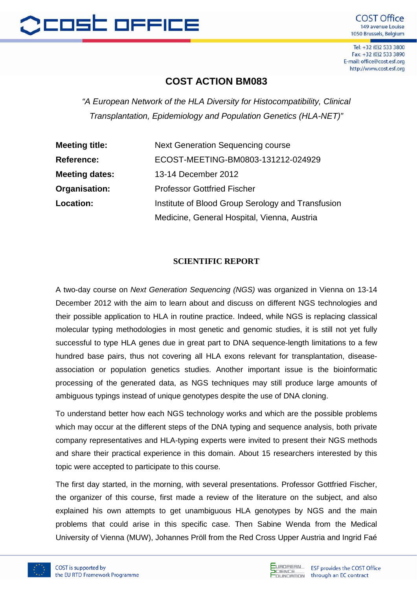

Tel: +32 (0)2 533 3800 Fax: +32 (0)2 533 3890 E-mail: office@cost.esf.org http://www.cost.esf.org

## **COST ACTION BM083**

*"A European Network of the HLA Diversity for Histocompatibility, Clinical Transplantation, Epidemiology and Population Genetics (HLA-NET)"*

| <b>Meeting title:</b> | <b>Next Generation Sequencing course</b>          |
|-----------------------|---------------------------------------------------|
| <b>Reference:</b>     | ECOST-MEETING-BM0803-131212-024929                |
| <b>Meeting dates:</b> | 13-14 December 2012                               |
| Organisation:         | <b>Professor Gottfried Fischer</b>                |
| Location:             | Institute of Blood Group Serology and Transfusion |
|                       | Medicine, General Hospital, Vienna, Austria       |

## **SCIENTIFIC REPORT**

A two-day course on *Next Generation Sequencing (NGS)* was organized in Vienna on 13-14 December 2012 with the aim to learn about and discuss on different NGS technologies and their possible application to HLA in routine practice. Indeed, while NGS is replacing classical molecular typing methodologies in most genetic and genomic studies, it is still not yet fully successful to type HLA genes due in great part to DNA sequence-length limitations to a few hundred base pairs, thus not covering all HLA exons relevant for transplantation, diseaseassociation or population genetics studies. Another important issue is the bioinformatic processing of the generated data, as NGS techniques may still produce large amounts of ambiguous typings instead of unique genotypes despite the use of DNA cloning.

To understand better how each NGS technology works and which are the possible problems which may occur at the different steps of the DNA typing and sequence analysis, both private company representatives and HLA-typing experts were invited to present their NGS methods and share their practical experience in this domain. About 15 researchers interested by this topic were accepted to participate to this course.

The first day started, in the morning, with several presentations. Professor Gottfried Fischer, the organizer of this course, first made a review of the literature on the subject, and also explained his own attempts to get unambiguous HLA genotypes by NGS and the main problems that could arise in this specific case. Then Sabine Wenda from the Medical University of Vienna (MUW), Johannes Pröll from the Red Cross Upper Austria and Ingrid Faé